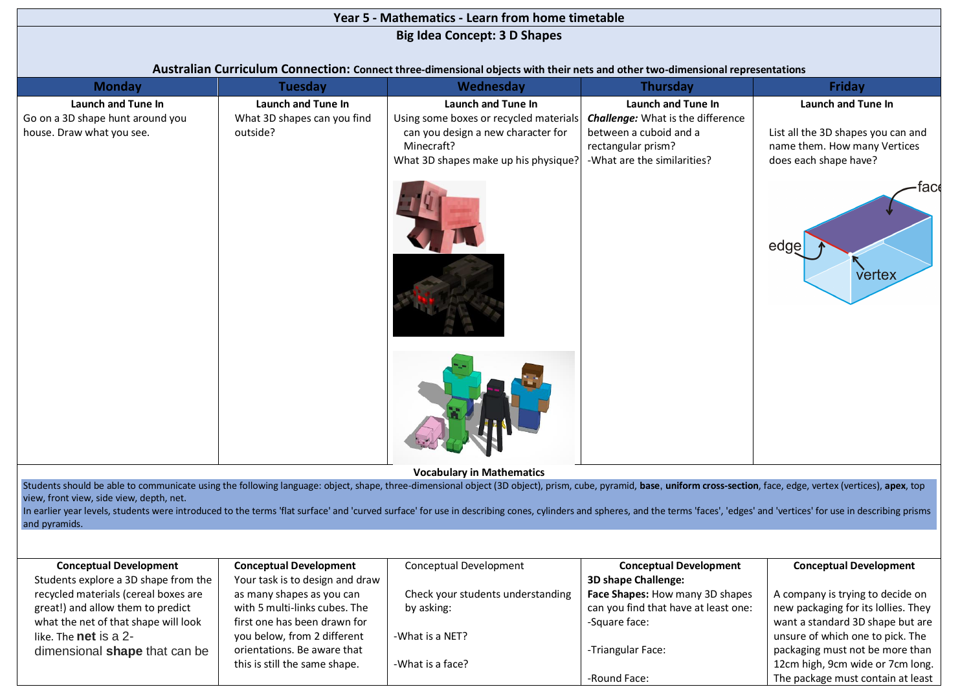| Year 5 - Mathematics - Learn from home timetable                                                                                                                                                                                                                                                                                                                                                                                                                                                    |                                                               |                                                                                                                                                          |                                                                                                                                               |                                                                                                                                             |  |  |  |  |  |
|-----------------------------------------------------------------------------------------------------------------------------------------------------------------------------------------------------------------------------------------------------------------------------------------------------------------------------------------------------------------------------------------------------------------------------------------------------------------------------------------------------|---------------------------------------------------------------|----------------------------------------------------------------------------------------------------------------------------------------------------------|-----------------------------------------------------------------------------------------------------------------------------------------------|---------------------------------------------------------------------------------------------------------------------------------------------|--|--|--|--|--|
| <b>Big Idea Concept: 3 D Shapes</b>                                                                                                                                                                                                                                                                                                                                                                                                                                                                 |                                                               |                                                                                                                                                          |                                                                                                                                               |                                                                                                                                             |  |  |  |  |  |
|                                                                                                                                                                                                                                                                                                                                                                                                                                                                                                     |                                                               |                                                                                                                                                          |                                                                                                                                               |                                                                                                                                             |  |  |  |  |  |
| Australian Curriculum Connection: Connect three-dimensional objects with their nets and other two-dimensional representations                                                                                                                                                                                                                                                                                                                                                                       |                                                               |                                                                                                                                                          |                                                                                                                                               |                                                                                                                                             |  |  |  |  |  |
| <b>Monday</b>                                                                                                                                                                                                                                                                                                                                                                                                                                                                                       | <b>Tuesday</b>                                                | Wednesday                                                                                                                                                | <b>Thursday</b>                                                                                                                               | Friday                                                                                                                                      |  |  |  |  |  |
| <b>Launch and Tune In</b><br>Go on a 3D shape hunt around you<br>house. Draw what you see.                                                                                                                                                                                                                                                                                                                                                                                                          | Launch and Tune In<br>What 3D shapes can you find<br>outside? | Launch and Tune In<br>Using some boxes or recycled materials<br>can you design a new character for<br>Minecraft?<br>What 3D shapes make up his physique? | Launch and Tune In<br><b>Challenge:</b> What is the difference<br>between a cuboid and a<br>rectangular prism?<br>-What are the similarities? | Launch and Tune In<br>List all the 3D shapes you can and<br>name them. How many Vertices<br>does each shape have?<br>face<br>edge<br>vertex |  |  |  |  |  |
| Students should be able to communicate using the following language: object, shape, three-dimensional object (3D object), prism, cube, pyramid, base, uniform cross-section, face, edge, vertex (vertices), apex, top<br>view, front view, side view, depth, net.<br>In earlier year levels, students were introduced to the terms 'flat surface' and 'curved surface' for use in describing cones, cylinders and spheres, and the terms 'faces', 'edges' and 'vertices' for use in describing pris |                                                               | <b>Vocabulary in Mathematics</b>                                                                                                                         |                                                                                                                                               |                                                                                                                                             |  |  |  |  |  |
| and pyramids.                                                                                                                                                                                                                                                                                                                                                                                                                                                                                       |                                                               |                                                                                                                                                          |                                                                                                                                               |                                                                                                                                             |  |  |  |  |  |
| <b>Conceptual Development</b>                                                                                                                                                                                                                                                                                                                                                                                                                                                                       | <b>Conceptual Development</b>                                 | Conceptual Development                                                                                                                                   | <b>Conceptual Development</b>                                                                                                                 | <b>Conceptual Development</b>                                                                                                               |  |  |  |  |  |
| Students explore a 3D shape from the                                                                                                                                                                                                                                                                                                                                                                                                                                                                | Your task is to design and draw                               |                                                                                                                                                          | 3D shape Challenge:                                                                                                                           |                                                                                                                                             |  |  |  |  |  |
| recycled materials (cereal boxes are                                                                                                                                                                                                                                                                                                                                                                                                                                                                | as many shapes as you can                                     | Check your students understanding                                                                                                                        | Face Shapes: How many 3D shapes                                                                                                               | A company is trying to decide on                                                                                                            |  |  |  |  |  |
| great!) and allow them to predict                                                                                                                                                                                                                                                                                                                                                                                                                                                                   | with 5 multi-links cubes. The                                 | by asking:                                                                                                                                               | can you find that have at least one:                                                                                                          | new packaging for its lollies. They                                                                                                         |  |  |  |  |  |
| what the net of that shape will look                                                                                                                                                                                                                                                                                                                                                                                                                                                                | first one has been drawn for                                  |                                                                                                                                                          | -Square face:                                                                                                                                 | want a standard 3D shape but are                                                                                                            |  |  |  |  |  |
| like. The net is a 2-                                                                                                                                                                                                                                                                                                                                                                                                                                                                               | you below, from 2 different                                   | -What is a NET?                                                                                                                                          |                                                                                                                                               | unsure of which one to pick. The                                                                                                            |  |  |  |  |  |
| dimensional shape that can be                                                                                                                                                                                                                                                                                                                                                                                                                                                                       | orientations. Be aware that                                   |                                                                                                                                                          | -Triangular Face:                                                                                                                             | packaging must not be more than                                                                                                             |  |  |  |  |  |

-What is a face?

-Round Face:

12cm high, 9cm wide or 7cm long. The package must contain at least

this is still the same shape.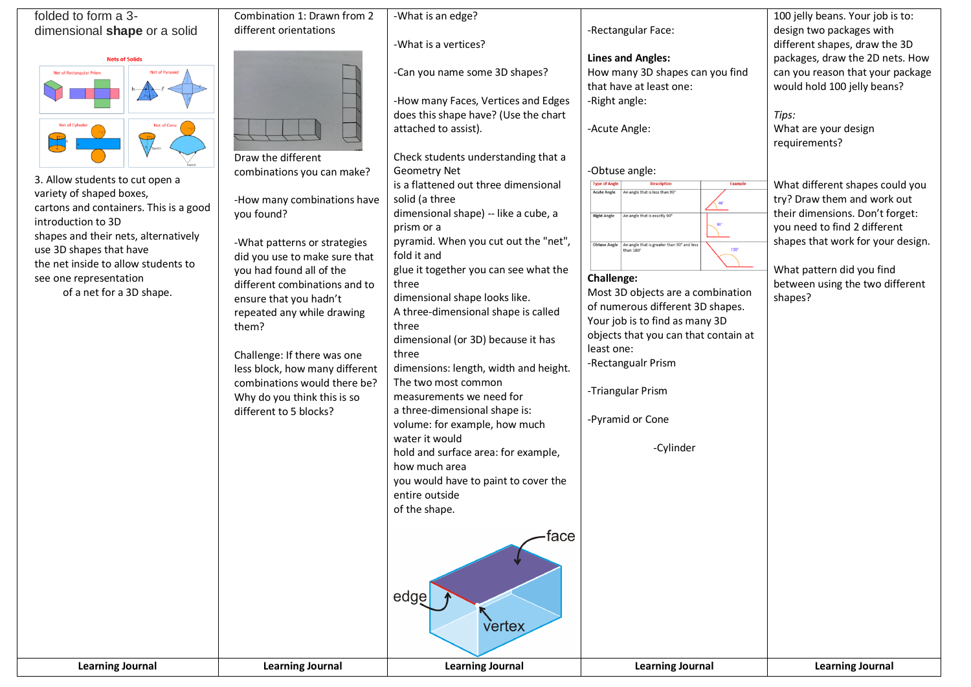| folded to form a 3-                                        | Combination 1: Drawn from 2                          | -What is an edge?                                                           |                                                                                       | 100 jelly beans. Your job is to:  |
|------------------------------------------------------------|------------------------------------------------------|-----------------------------------------------------------------------------|---------------------------------------------------------------------------------------|-----------------------------------|
| dimensional shape or a solid                               | different orientations                               |                                                                             | -Rectangular Face:                                                                    | design two packages with          |
|                                                            |                                                      | -What is a vertices?                                                        |                                                                                       | different shapes, draw the 3D     |
| <b>Nets of Solids</b>                                      |                                                      |                                                                             | <b>Lines and Angles:</b>                                                              | packages, draw the 2D nets. How   |
| Net of Rectangular Prism<br><b>Net of Pyramid</b>          |                                                      | -Can you name some 3D shapes?                                               | How many 3D shapes can you find                                                       | can you reason that your package  |
|                                                            |                                                      |                                                                             | that have at least one:                                                               | would hold 100 jelly beans?       |
|                                                            |                                                      | -How many Faces, Vertices and Edges<br>does this shape have? (Use the chart | -Right angle:                                                                         | Tips:                             |
| <b>Net of Cylinde</b><br><b>Net of Cone</b>                |                                                      | attached to assist).                                                        | -Acute Angle:                                                                         | What are your design              |
|                                                            |                                                      |                                                                             |                                                                                       | requirements?                     |
|                                                            | Draw the different                                   | Check students understanding that a                                         |                                                                                       |                                   |
|                                                            | combinations you can make?                           | <b>Geometry Net</b>                                                         | -Obtuse angle:                                                                        |                                   |
| 3. Allow students to cut open a                            |                                                      | is a flattened out three dimensional                                        | <b>Type of Angle</b><br><b>Description</b><br><b>Example</b>                          | What different shapes could you   |
| variety of shaped boxes,                                   | -How many combinations have                          | solid (a three                                                              | <b>Acute Angle</b><br>An angle that is less than 90                                   | try? Draw them and work out       |
| cartons and containers. This is a good                     | you found?                                           | dimensional shape) -- like a cube, a                                        | <b>Right Angle</b><br>An angle that is exactly 90°                                    | their dimensions. Don't forget:   |
| introduction to 3D<br>shapes and their nets, alternatively |                                                      | prism or a                                                                  |                                                                                       | you need to find 2 different      |
| use 3D shapes that have                                    | -What patterns or strategies                         | pyramid. When you cut out the "net",                                        | Obtuse Angle   An angle that is greater than 90° and less<br>$130^\circ$<br>than 180° | shapes that work for your design. |
| the net inside to allow students to                        | did you use to make sure that                        | fold it and                                                                 |                                                                                       |                                   |
| see one representation                                     | you had found all of the                             | glue it together you can see what the                                       | Challenge:                                                                            | What pattern did you find         |
| of a net for a 3D shape.                                   | different combinations and to                        | three<br>dimensional shape looks like.                                      | Most 3D objects are a combination                                                     | between using the two different   |
|                                                            | ensure that you hadn't<br>repeated any while drawing | A three-dimensional shape is called                                         | of numerous different 3D shapes.                                                      | shapes?                           |
|                                                            | them?                                                | three                                                                       | Your job is to find as many 3D                                                        |                                   |
|                                                            |                                                      | dimensional (or 3D) because it has                                          | objects that you can that contain at                                                  |                                   |
|                                                            | Challenge: If there was one                          | three                                                                       | least one:                                                                            |                                   |
|                                                            | less block, how many different                       | dimensions: length, width and height.                                       | -Rectangualr Prism                                                                    |                                   |
|                                                            | combinations would there be?                         | The two most common                                                         |                                                                                       |                                   |
|                                                            | Why do you think this is so                          | measurements we need for                                                    | -Triangular Prism                                                                     |                                   |
|                                                            | different to 5 blocks?                               | a three-dimensional shape is:                                               | -Pyramid or Cone                                                                      |                                   |
|                                                            |                                                      | volume: for example, how much                                               |                                                                                       |                                   |
|                                                            |                                                      | water it would                                                              | -Cylinder                                                                             |                                   |
|                                                            |                                                      | hold and surface area: for example,<br>how much area                        |                                                                                       |                                   |
|                                                            |                                                      | you would have to paint to cover the                                        |                                                                                       |                                   |
|                                                            |                                                      | entire outside                                                              |                                                                                       |                                   |
|                                                            |                                                      | of the shape.                                                               |                                                                                       |                                   |
|                                                            |                                                      |                                                                             |                                                                                       |                                   |
|                                                            |                                                      | ·face                                                                       |                                                                                       |                                   |
|                                                            |                                                      |                                                                             |                                                                                       |                                   |
|                                                            |                                                      |                                                                             |                                                                                       |                                   |
|                                                            |                                                      |                                                                             |                                                                                       |                                   |
|                                                            |                                                      | edge                                                                        |                                                                                       |                                   |
|                                                            |                                                      |                                                                             |                                                                                       |                                   |
|                                                            |                                                      | vertex                                                                      |                                                                                       |                                   |
|                                                            |                                                      |                                                                             |                                                                                       |                                   |
| <b>Learning Journal</b>                                    | <b>Learning Journal</b>                              | <b>Learning Journal</b>                                                     | <b>Learning Journal</b>                                                               | <b>Learning Journal</b>           |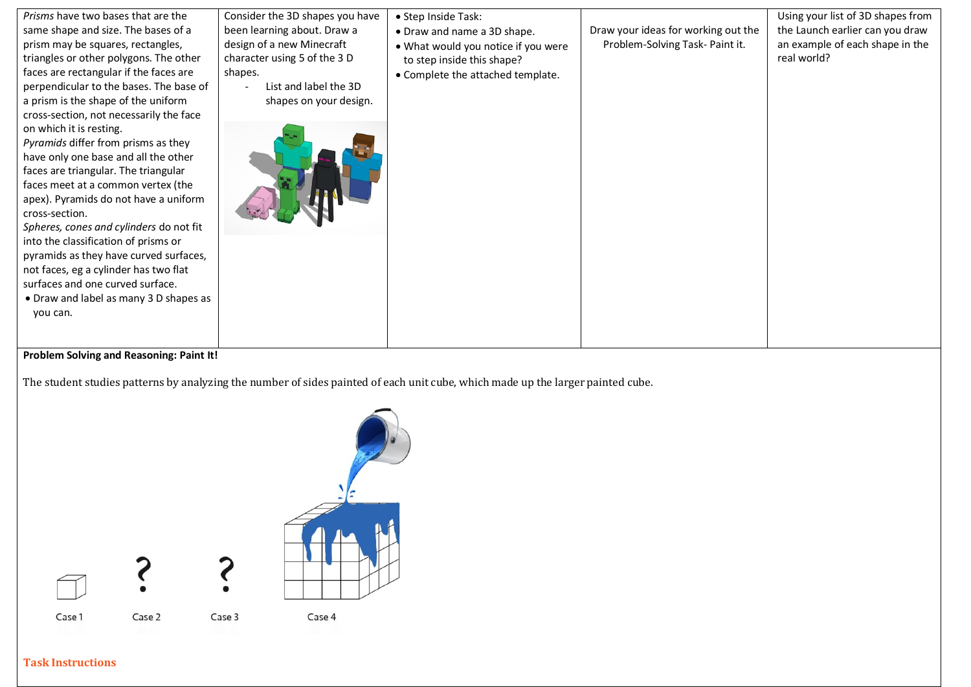| Prisms have two bases that are the                                                                                                                                                                                                                                            | Consider the 3D shapes you have                                                                                         | • Step Inside Task:                                                                                                                   |                                     | Using your list of 3D shapes from              |
|-------------------------------------------------------------------------------------------------------------------------------------------------------------------------------------------------------------------------------------------------------------------------------|-------------------------------------------------------------------------------------------------------------------------|---------------------------------------------------------------------------------------------------------------------------------------|-------------------------------------|------------------------------------------------|
| same shape and size. The bases of a                                                                                                                                                                                                                                           | been learning about. Draw a                                                                                             |                                                                                                                                       | Draw your ideas for working out the | the Launch earlier can you draw                |
| prism may be squares, rectangles,<br>triangles or other polygons. The other<br>faces are rectangular if the faces are<br>perpendicular to the bases. The base of<br>a prism is the shape of the uniform<br>cross-section, not necessarily the face<br>on which it is resting. | design of a new Minecraft<br>character using 5 of the 3 D<br>shapes.<br>List and label the 3D<br>shapes on your design. | • Draw and name a 3D shape.<br>. What would you notice if you were<br>to step inside this shape?<br>• Complete the attached template. | Problem-Solving Task- Paint it.     | an example of each shape in the<br>real world? |
| Pyramids differ from prisms as they<br>have only one base and all the other<br>faces are triangular. The triangular<br>faces meet at a common vertex (the<br>apex). Pyramids do not have a uniform<br>cross-section.<br>Spheres, cones and cylinders do not fit               |                                                                                                                         |                                                                                                                                       |                                     |                                                |
| into the classification of prisms or<br>pyramids as they have curved surfaces,<br>not faces, eg a cylinder has two flat<br>surfaces and one curved surface.<br>• Draw and label as many 3 D shapes as<br>you can.                                                             |                                                                                                                         |                                                                                                                                       |                                     |                                                |

## **Problem Solving and Reasoning: Paint It!**

The student studies patterns by analyzing the number of sides painted of each unit cube, which made up the larger painted cube.



## **Task Instructions**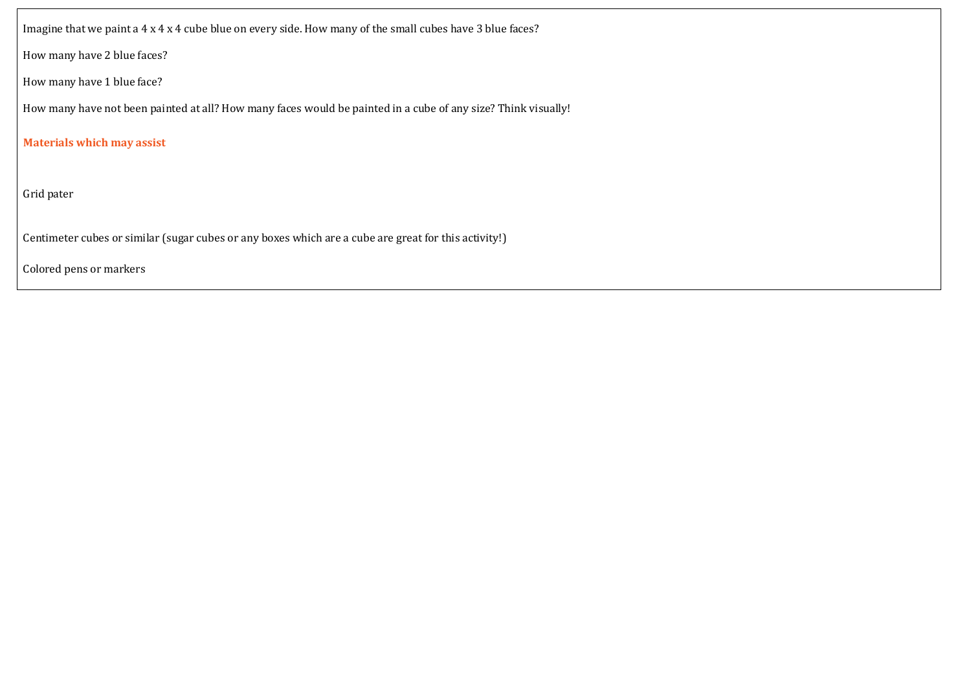Imagine that we paint a 4 x 4 x 4 cube blue on every side. How many of the small cubes have 3 blue faces?

How many have 2 blue faces?

How many have 1 blue face?

How many have not been painted at all? How many faces would be painted in a cube of any size? Think visually!

**Materials which may assist**

Grid pater

• Centimeter cubes or similar (sugar cubes or any boxes which are a cube are great for this activity!)

• Colored pens or markers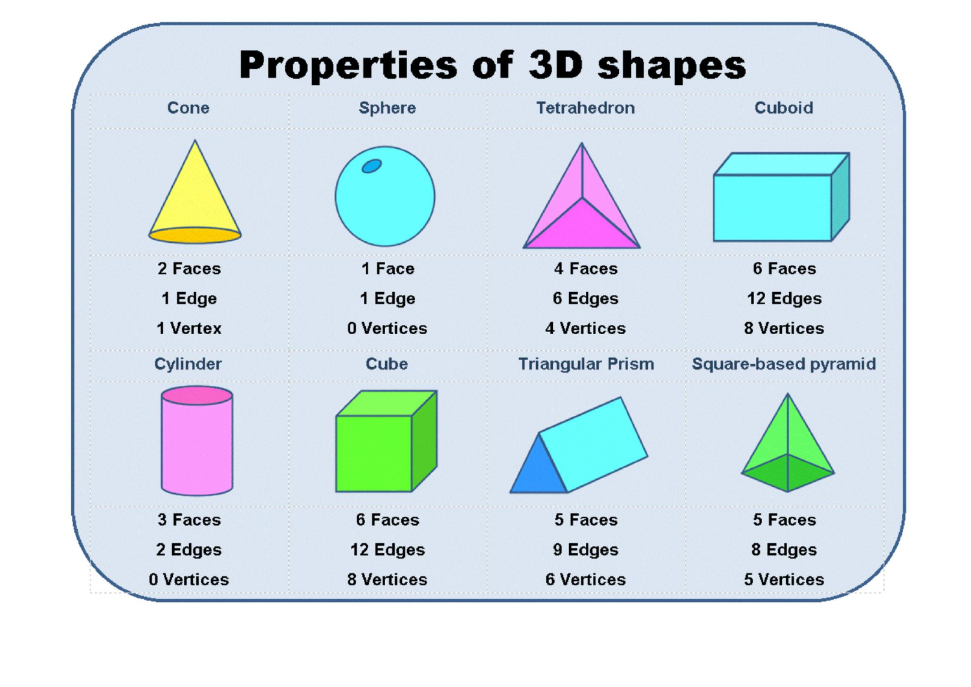